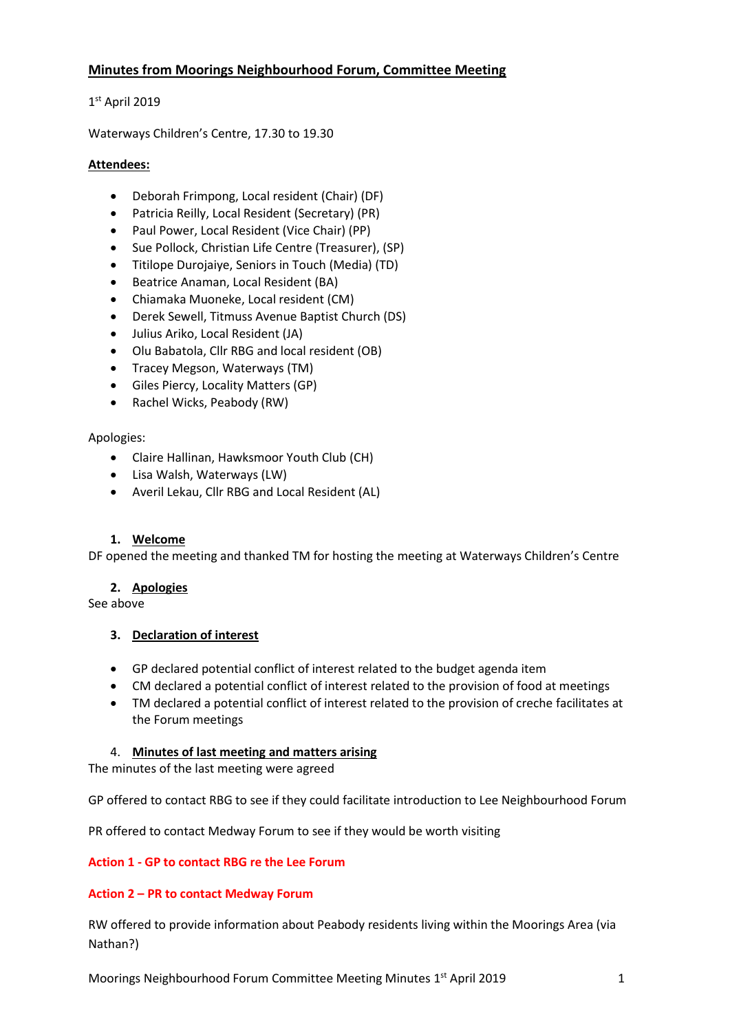# **Minutes from Moorings Neighbourhood Forum, Committee Meeting**

# 1 st April 2019

Waterways Children's Centre, 17.30 to 19.30

## **Attendees:**

- Deborah Frimpong, Local resident (Chair) (DF)
- Patricia Reilly, Local Resident (Secretary) (PR)
- Paul Power, Local Resident (Vice Chair) (PP)
- Sue Pollock, Christian Life Centre (Treasurer), (SP)
- Titilope Durojaiye, Seniors in Touch (Media) (TD)
- Beatrice Anaman, Local Resident (BA)
- Chiamaka Muoneke, Local resident (CM)
- Derek Sewell, Titmuss Avenue Baptist Church (DS)
- Julius Ariko, Local Resident (JA)
- Olu Babatola, Cllr RBG and local resident (OB)
- Tracey Megson, Waterways (TM)
- Giles Piercy, Locality Matters (GP)
- Rachel Wicks, Peabody (RW)

## Apologies:

- Claire Hallinan, Hawksmoor Youth Club (CH)
- Lisa Walsh, Waterways (LW)
- Averil Lekau, Cllr RBG and Local Resident (AL)

## **1. Welcome**

DF opened the meeting and thanked TM for hosting the meeting at Waterways Children's Centre

## **2. Apologies**

See above

## **3. Declaration of interest**

- GP declared potential conflict of interest related to the budget agenda item
- CM declared a potential conflict of interest related to the provision of food at meetings
- TM declared a potential conflict of interest related to the provision of creche facilitates at the Forum meetings

## 4. **Minutes of last meeting and matters arising**

The minutes of the last meeting were agreed

GP offered to contact RBG to see if they could facilitate introduction to Lee Neighbourhood Forum

PR offered to contact Medway Forum to see if they would be worth visiting

## **Action 1 - GP to contact RBG re the Lee Forum**

## **Action 2 – PR to contact Medway Forum**

RW offered to provide information about Peabody residents living within the Moorings Area (via Nathan?)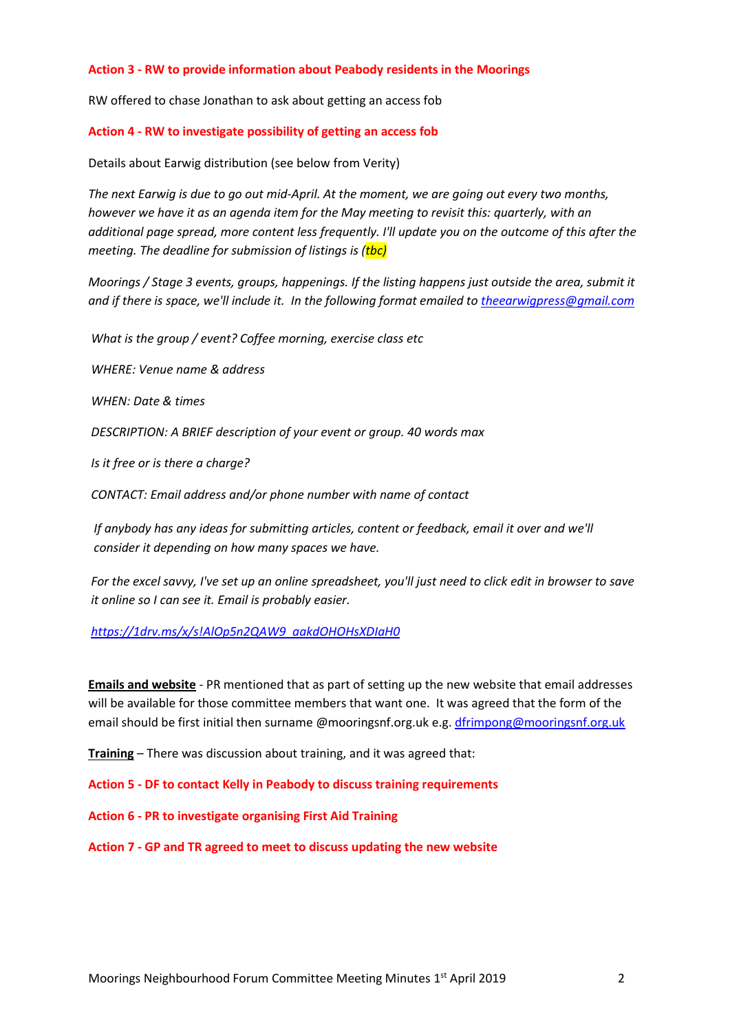#### **Action 3 - RW to provide information about Peabody residents in the Moorings**

RW offered to chase Jonathan to ask about getting an access fob

#### **Action 4 - RW to investigate possibility of getting an access fob**

Details about Earwig distribution (see below from Verity)

*The next Earwig is due to go out mid-April. At the moment, we are going out every two months, however we have it as an agenda item for the May meeting to revisit this: quarterly, with an additional page spread, more content less frequently. I'll update you on the outcome of this after the meeting. The deadline for submission of listings is (tbc)*

*Moorings / Stage 3 events, groups, happenings. If the listing happens just outside the area, submit it and if there is space, we'll include it. In the following format emailed to [theearwigpress@gmail.com](mailto:theearwigpress@gmail.com)*

*What is the group / event? Coffee morning, exercise class etc*

*WHERE: Venue name & address*

*WHEN: Date & times*

*DESCRIPTION: A BRIEF description of your event or group. 40 words max*

*Is it free or is there a charge?*

*CONTACT: Email address and/or phone number with name of contact*

*If anybody has any ideas for submitting articles, content or feedback, email it over and we'll consider it depending on how many spaces we have.*

*For the excel savvy, I've set up an online spreadsheet, you'll just need to click edit in browser to save it online so I can see it. Email is probably easier.*

## *[https://1drv.ms/x/s!AlOp5n2QAW9\\_aakdOHOHsXDIaH0](https://1drv.ms/x/s!AlOp5n2QAW9_aakdOHOHsXDIaH0)*

**Emails and website** - PR mentioned that as part of setting up the new website that email addresses will be available for those committee members that want one. It was agreed that the form of the email should be first initial then surname @mooringsnf.org.uk e.g. [dfrimpong@mooringsnf.org.uk](mailto:dfrimpong@mooringsnf.org.uk)

**Training** – There was discussion about training, and it was agreed that:

**Action 5 - DF to contact Kelly in Peabody to discuss training requirements**

**Action 6 - PR to investigate organising First Aid Training** 

**Action 7 - GP and TR agreed to meet to discuss updating the new website**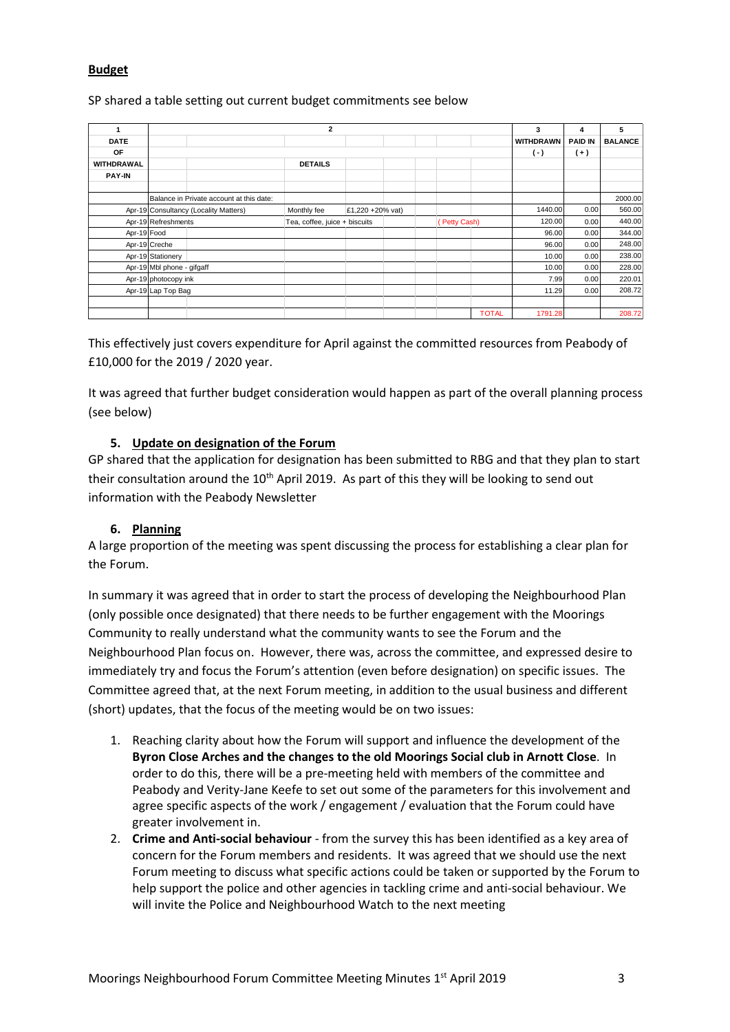# **Budget**

#### SP shared a table setting out current budget commitments see below

|               | $\overline{2}$                           |  |                               |                  |  |              |  |              | 3                | 4              | 5              |
|---------------|------------------------------------------|--|-------------------------------|------------------|--|--------------|--|--------------|------------------|----------------|----------------|
| <b>DATE</b>   |                                          |  |                               |                  |  |              |  |              | <b>WITHDRAWN</b> | <b>PAID IN</b> | <b>BALANCE</b> |
| OF            |                                          |  |                               |                  |  |              |  |              | $(\cdot)$        | $(+)$          |                |
| WITHDRAWAL    |                                          |  | <b>DETAILS</b>                |                  |  |              |  |              |                  |                |                |
| <b>PAY-IN</b> |                                          |  |                               |                  |  |              |  |              |                  |                |                |
|               |                                          |  |                               |                  |  |              |  |              |                  |                |                |
|               | Balance in Private account at this date: |  |                               |                  |  |              |  |              |                  |                | 2000.00        |
|               | Apr-19 Consultancy (Locality Matters)    |  | Monthly fee                   | £1,220 +20% vat) |  |              |  |              | 1440.00          | 0.00           | 560.00         |
|               | Apr-19 Refreshments                      |  | Tea, coffee, juice + biscuits |                  |  | (Petty Cash) |  | 120.00       | 0.00             | 440.00         |                |
| Apr-19 Food   |                                          |  |                               |                  |  |              |  |              | 96.00            | 0.00           | 344.00         |
|               | Apr-19 Creche                            |  |                               |                  |  |              |  |              | 96.00            | 0.00           | 248.00         |
|               | Apr-19 Stationery                        |  |                               |                  |  |              |  |              | 10.00            | 0.00           | 238.00         |
|               | Apr-19 Mbl phone - gifgaff               |  |                               |                  |  |              |  |              | 10.00            | 0.00           | 228.00         |
|               | Apr-19 photocopy ink                     |  |                               |                  |  |              |  |              | 7.99             | 0.00           | 220.01         |
|               | Apr-19 Lap Top Bag                       |  |                               |                  |  |              |  |              | 11.29            | 0.00           | 208.72         |
|               |                                          |  |                               |                  |  |              |  |              |                  |                |                |
|               |                                          |  |                               |                  |  |              |  | <b>TOTAL</b> | 1791.28          |                | 208.72         |

This effectively just covers expenditure for April against the committed resources from Peabody of £10,000 for the 2019 / 2020 year.

It was agreed that further budget consideration would happen as part of the overall planning process (see below)

## **5. Update on designation of the Forum**

GP shared that the application for designation has been submitted to RBG and that they plan to start their consultation around the  $10<sup>th</sup>$  April 2019. As part of this they will be looking to send out information with the Peabody Newsletter

## **6. Planning**

A large proportion of the meeting was spent discussing the process for establishing a clear plan for the Forum.

In summary it was agreed that in order to start the process of developing the Neighbourhood Plan (only possible once designated) that there needs to be further engagement with the Moorings Community to really understand what the community wants to see the Forum and the Neighbourhood Plan focus on. However, there was, across the committee, and expressed desire to immediately try and focus the Forum's attention (even before designation) on specific issues. The Committee agreed that, at the next Forum meeting, in addition to the usual business and different (short) updates, that the focus of the meeting would be on two issues:

- 1. Reaching clarity about how the Forum will support and influence the development of the **Byron Close Arches and the changes to the old Moorings Social club in Arnott Close**. In order to do this, there will be a pre-meeting held with members of the committee and Peabody and Verity-Jane Keefe to set out some of the parameters for this involvement and agree specific aspects of the work / engagement / evaluation that the Forum could have greater involvement in.
- 2. **Crime and Anti-social behaviour** from the survey this has been identified as a key area of concern for the Forum members and residents. It was agreed that we should use the next Forum meeting to discuss what specific actions could be taken or supported by the Forum to help support the police and other agencies in tackling crime and anti-social behaviour. We will invite the Police and Neighbourhood Watch to the next meeting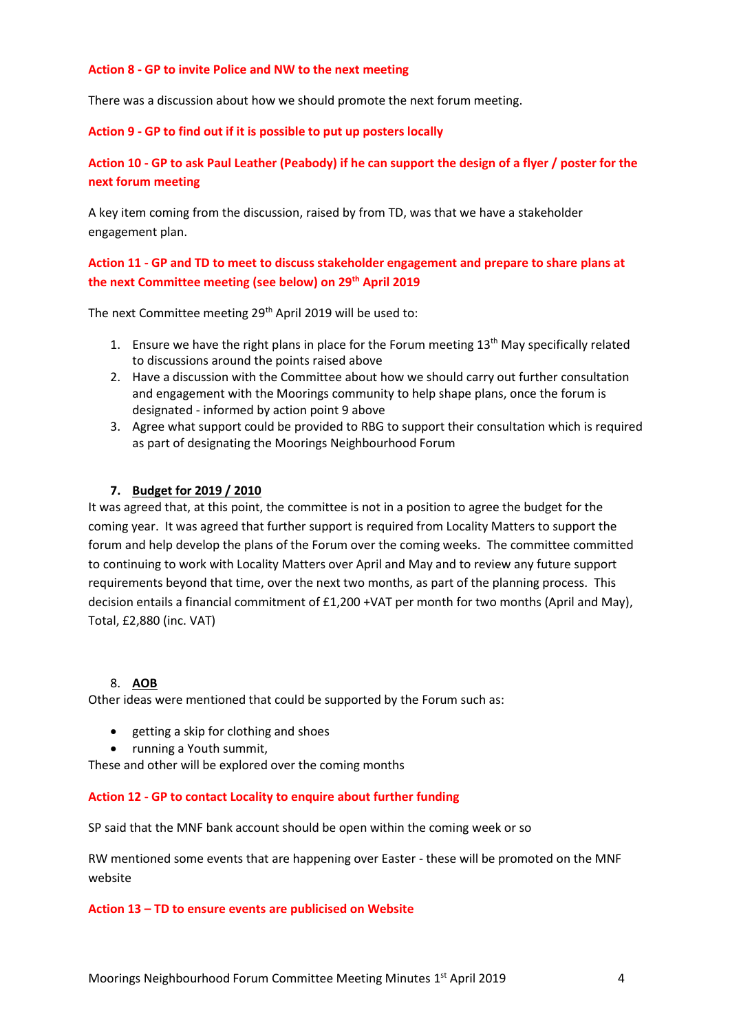#### **Action 8 - GP to invite Police and NW to the next meeting**

There was a discussion about how we should promote the next forum meeting.

#### **Action 9 - GP to find out if it is possible to put up posters locally**

# **Action 10 - GP to ask Paul Leather (Peabody) if he can support the design of a flyer / poster for the next forum meeting**

A key item coming from the discussion, raised by from TD, was that we have a stakeholder engagement plan.

# **Action 11 - GP and TD to meet to discuss stakeholder engagement and prepare to share plans at the next Committee meeting (see below) on 29th April 2019**

The next Committee meeting 29th April 2019 will be used to:

- 1. Ensure we have the right plans in place for the Forum meeting 13<sup>th</sup> May specifically related to discussions around the points raised above
- 2. Have a discussion with the Committee about how we should carry out further consultation and engagement with the Moorings community to help shape plans, once the forum is designated - informed by action point 9 above
- 3. Agree what support could be provided to RBG to support their consultation which is required as part of designating the Moorings Neighbourhood Forum

#### **7. Budget for 2019 / 2010**

It was agreed that, at this point, the committee is not in a position to agree the budget for the coming year. It was agreed that further support is required from Locality Matters to support the forum and help develop the plans of the Forum over the coming weeks. The committee committed to continuing to work with Locality Matters over April and May and to review any future support requirements beyond that time, over the next two months, as part of the planning process. This decision entails a financial commitment of £1,200 +VAT per month for two months (April and May), Total, £2,880 (inc. VAT)

#### 8. **AOB**

Other ideas were mentioned that could be supported by the Forum such as:

- getting a skip for clothing and shoes
- running a Youth summit,

These and other will be explored over the coming months

#### **Action 12 - GP to contact Locality to enquire about further funding**

SP said that the MNF bank account should be open within the coming week or so

RW mentioned some events that are happening over Easter - these will be promoted on the MNF website

#### **Action 13 – TD to ensure events are publicised on Website**